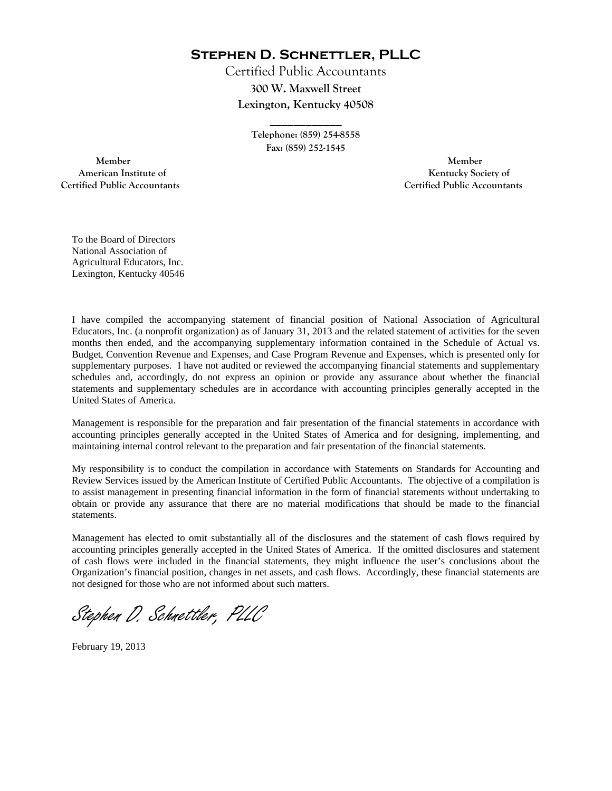**Stephen D. Schnettler, PLLC**

Certified Public Accountants **300 W. Maxwell Street Lexington, Kentucky 40508** 

> **Telephone: (859) 254-8558 Fax: (859) 252-1545**

**\_\_\_\_\_\_\_\_\_\_\_\_** 

 **Member Member Certified Public Accountants Certified Public Accountants** 

American Institute of **Kentucky Society of** 

To the Board of Directors National Association of Agricultural Educators, Inc. Lexington, Kentucky 40546

I have compiled the accompanying statement of financial position of National Association of Agricultural Educators, Inc. (a nonprofit organization) as of January 31, 2013 and the related statement of activities for the seven months then ended, and the accompanying supplementary information contained in the Schedule of Actual vs. Budget, Convention Revenue and Expenses, and Case Program Revenue and Expenses, which is presented only for supplementary purposes. I have not audited or reviewed the accompanying financial statements and supplementary schedules and, accordingly, do not express an opinion or provide any assurance about whether the financial statements and supplementary schedules are in accordance with accounting principles generally accepted in the United States of America.

Management is responsible for the preparation and fair presentation of the financial statements in accordance with accounting principles generally accepted in the United States of America and for designing, implementing, and maintaining internal control relevant to the preparation and fair presentation of the financial statements.

My responsibility is to conduct the compilation in accordance with Statements on Standards for Accounting and Review Services issued by the American Institute of Certified Public Accountants. The objective of a compilation is to assist management in presenting financial information in the form of financial statements without undertaking to obtain or provide any assurance that there are no material modifications that should be made to the financial statements.

Management has elected to omit substantially all of the disclosures and the statement of cash flows required by accounting principles generally accepted in the United States of America. If the omitted disclosures and statement of cash flows were included in the financial statements, they might influence the user's conclusions about the Organization's financial position, changes in net assets, and cash flows. Accordingly, these financial statements are not designed for those who are not informed about such matters.

Stephen D. Schnettler, PLLC

February 19, 2013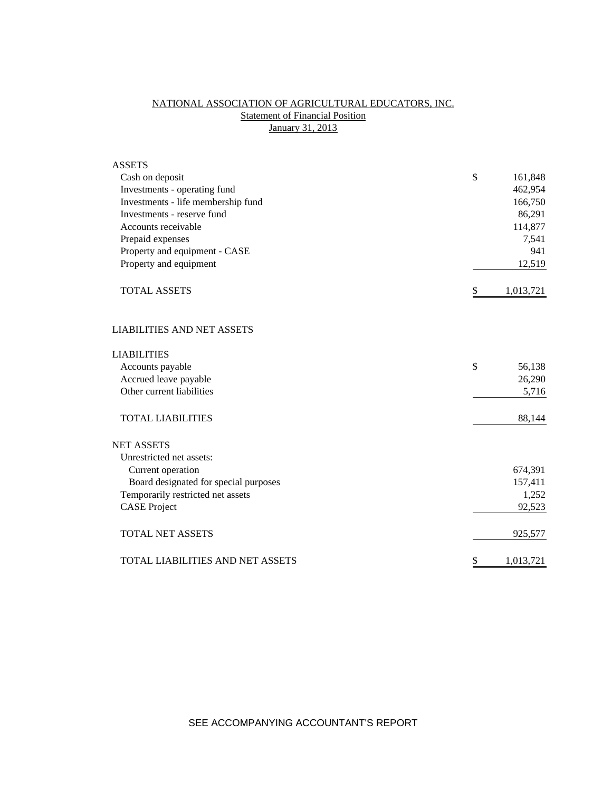# NATIONAL ASSOCIATION OF AGRICULTURAL EDUCATORS, INC. **Statement of Financial Position** January 31, 2013

| <b>ASSETS</b>                           |                 |
|-----------------------------------------|-----------------|
| Cash on deposit                         | \$<br>161,848   |
| Investments - operating fund            | 462,954         |
| Investments - life membership fund      | 166,750         |
| Investments - reserve fund              | 86,291          |
| Accounts receivable                     | 114,877         |
| Prepaid expenses                        | 7,541           |
| Property and equipment - CASE           | 941             |
| Property and equipment                  | 12,519          |
| <b>TOTAL ASSETS</b>                     | \$<br>1,013,721 |
| <b>LIABILITIES AND NET ASSETS</b>       |                 |
| <b>LIABILITIES</b>                      |                 |
| Accounts payable                        | \$<br>56,138    |
| Accrued leave payable                   | 26,290          |
| Other current liabilities               | 5,716           |
| <b>TOTAL LIABILITIES</b>                | 88,144          |
| <b>NET ASSETS</b>                       |                 |
| Unrestricted net assets:                |                 |
| Current operation                       | 674,391         |
| Board designated for special purposes   | 157,411         |
| Temporarily restricted net assets       | 1,252           |
| <b>CASE Project</b>                     | 92,523          |
| <b>TOTAL NET ASSETS</b>                 | 925,577         |
| <b>TOTAL LIABILITIES AND NET ASSETS</b> | \$<br>1,013,721 |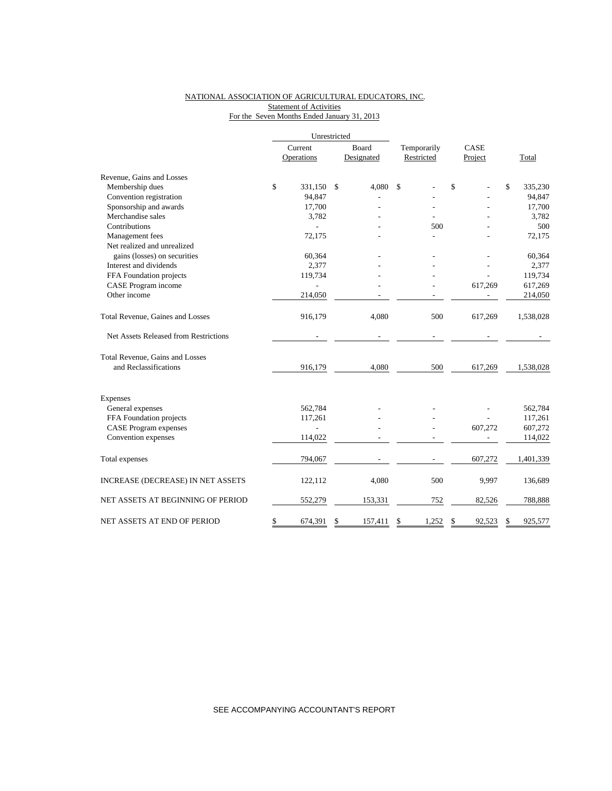## NATIONAL ASSOCIATION OF AGRICULTURAL EDUCATORS, INC. **Statement of Activities** For the Seven Months Ended January 31, 2013

|                                       | Unrestricted   |    |            |             |              |              |           |  |
|---------------------------------------|----------------|----|------------|-------------|--------------|--------------|-----------|--|
|                                       | Current        |    | Board      | Temporarily | CASE         |              |           |  |
|                                       | Operations     |    | Designated | Restricted  | Project      |              | Total     |  |
| Revenue, Gains and Losses             |                |    |            |             |              |              |           |  |
| Membership dues                       | \$<br>331,150  | \$ | 4,080      | \$          | \$           | $\mathbb{S}$ | 335,230   |  |
| Convention registration               | 94,847         |    |            |             |              |              | 94,847    |  |
| Sponsorship and awards                | 17,700         |    |            |             |              |              | 17,700    |  |
| Merchandise sales                     | 3,782          |    |            |             |              |              | 3,782     |  |
| Contributions                         |                |    |            | 500         |              |              | 500       |  |
| Management fees                       | 72,175         |    |            |             |              |              | 72,175    |  |
| Net realized and unrealized           |                |    |            |             |              |              |           |  |
| gains (losses) on securities          | 60,364         |    |            |             |              |              | 60,364    |  |
| Interest and dividends                | 2,377          |    |            |             |              |              | 2,377     |  |
| FFA Foundation projects               | 119,734        |    |            |             |              |              | 119,734   |  |
| CASE Program income                   |                |    |            |             | 617,269      |              | 617,269   |  |
| Other income                          | 214,050        |    |            |             |              |              | 214,050   |  |
| Total Revenue, Gaines and Losses      | 916,179        |    | 4,080      | 500         | 617,269      |              | 1,538,028 |  |
| Net Assets Released from Restrictions |                |    |            |             |              |              |           |  |
| Total Revenue, Gains and Losses       |                |    |            |             |              |              |           |  |
| and Reclassifications                 | 916,179        |    | 4,080      | 500         | 617,269      |              | 1,538,028 |  |
| Expenses                              |                |    |            |             |              |              |           |  |
| General expenses                      | 562,784        |    |            |             |              |              | 562,784   |  |
| FFA Foundation projects               | 117,261        |    |            |             |              |              | 117,261   |  |
| <b>CASE</b> Program expenses          | $\overline{a}$ |    |            |             | 607,272      |              | 607,272   |  |
| Convention expenses                   | 114,022        |    |            |             |              |              | 114,022   |  |
| Total expenses                        | 794,067        |    |            |             | 607,272      |              | 1,401,339 |  |
| INCREASE (DECREASE) IN NET ASSETS     | 122,112        |    | 4,080      | 500         | 9,997        |              | 136,689   |  |
| NET ASSETS AT BEGINNING OF PERIOD     | 552,279        |    | 153,331    | 752         | 82,526       |              | 788,888   |  |
| NET ASSETS AT END OF PERIOD           | \$<br>674,391  | \$ | 157,411    | \$<br>1,252 | \$<br>92,523 | \$           | 925,577   |  |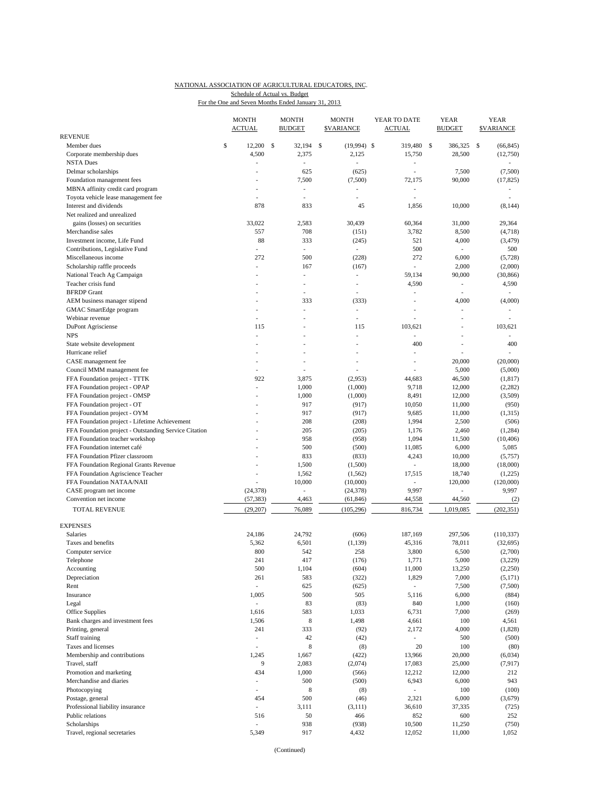#### NATIONAL ASSOCIATION OF AGRICULTURAL EDUCATORS, INC. For the One and Seven Months Ended January 31, 2013 Schedule of Actual vs. Budget

|                                                                 | <b>MONTH</b><br><b>ACTUAL</b> |    | <b>MONTH</b><br><b>BUDGET</b>     | <b>MONTH</b><br><b>SVARIANCE</b> | YEAR TO DATE<br><b>ACTUAL</b>      |               | <b>YEAR</b><br><b>BUDGET</b> |               | <b>YEAR</b><br><b>SVARIANCE</b> |
|-----------------------------------------------------------------|-------------------------------|----|-----------------------------------|----------------------------------|------------------------------------|---------------|------------------------------|---------------|---------------------------------|
| REVENUE                                                         |                               |    |                                   |                                  |                                    |               |                              |               |                                 |
| Member dues                                                     | \$<br>12,200                  | -S | 32,194                            | \$<br>$(19,994)$ \$              | 319,480                            | <sup>\$</sup> | 386,325                      | <sup>\$</sup> | (66, 845)                       |
| Corporate membership dues                                       | 4,500                         |    | 2,375                             | 2,125                            | 15,750                             |               | 28,500                       |               | (12,750)                        |
| <b>NSTA Dues</b>                                                | ٠                             |    | ÷,                                |                                  | $\overline{a}$                     |               |                              |               | $\overline{\phantom{a}}$        |
| Delmar scholarships                                             | $\overline{a}$                |    | 625                               | (625)                            | $\overline{\phantom{a}}$           |               | 7,500                        |               | (7,500)                         |
| Foundation management fees<br>MBNA affinity credit card program |                               |    | 7,500<br>$\overline{\phantom{a}}$ | (7,500)<br>$\overline{a}$        | 72,175<br>$\overline{\phantom{a}}$ |               | 90,000                       |               | (17, 825)                       |
| Toyota vehicle lease management fee                             | ÷.                            |    | ÷,                                | ÷.                               | ÷,                                 |               |                              |               |                                 |
| Interest and dividends                                          | 878                           |    | 833                               | 45                               | 1,856                              |               | 10,000                       |               | (8, 144)                        |
| Net realized and unrealized                                     |                               |    |                                   |                                  |                                    |               |                              |               |                                 |
| gains (losses) on securities                                    | 33,022                        |    | 2,583                             | 30,439                           | 60,364                             |               | 31,000                       |               | 29,364                          |
| Merchandise sales                                               | 557                           |    | 708                               | (151)                            | 3,782                              |               | 8,500                        |               | (4,718)                         |
| Investment income, Life Fund                                    | 88                            |    | 333                               | (245)                            | 521                                |               | 4,000                        |               | (3, 479)                        |
| Contributions, Legislative Fund                                 |                               |    | ÷.                                | $\overline{\phantom{a}}$         | 500                                |               | ÷,                           |               | 500                             |
| Miscellaneous income                                            | 272                           |    | 500                               | (228)                            | 272                                |               | 6,000                        |               | (5,728)                         |
| Scholarship raffle proceeds                                     | ÷,                            |    | 167                               | (167)                            | $\overline{\phantom{a}}$           |               | 2,000                        |               | (2,000)                         |
| National Teach Ag Campaign                                      |                               |    | ÷,                                | $\sim$                           | 59,134                             |               | 90,000                       |               | (30, 866)                       |
| Teacher crisis fund                                             |                               |    | ä,                                | ٠                                | 4,590                              |               | $\overline{\phantom{a}}$     |               | 4,590                           |
| <b>BFRDP</b> Grant                                              |                               |    | ÷,                                | ٠                                |                                    |               | L.                           |               |                                 |
| AEM business manager stipend                                    |                               |    | 333                               | (333)                            | L,                                 |               | 4,000                        |               | (4,000)                         |
| GMAC SmartEdge program                                          | $\overline{a}$                |    | ÷,                                | $\overline{\phantom{a}}$         | L,                                 |               | ÷.                           |               |                                 |
| Webinar revenue                                                 |                               |    |                                   | L,                               |                                    |               |                              |               |                                 |
| DuPont Agrisciense                                              | 115                           |    |                                   | 115                              | 103,621                            |               |                              |               | 103,621                         |
| <b>NPS</b>                                                      | ÷                             |    | ä,                                | $\sim$                           | $\sim$                             |               | L.                           |               |                                 |
| State website development                                       |                               |    | ÷,                                |                                  | 400                                |               | L                            |               | 400                             |
| Hurricane relief                                                |                               |    |                                   |                                  | J.                                 |               |                              |               |                                 |
| CASE management fee                                             |                               |    |                                   |                                  | Ĭ.                                 |               | 20,000                       |               | (20,000)                        |
| Council MMM management fee                                      | $\frac{1}{2}$                 |    |                                   |                                  |                                    |               | 5,000                        |               | (5,000)                         |
| FFA Foundation project - TTTK                                   | 922                           |    | 3,875                             | (2,953)                          | 44,683                             |               | 46,500                       |               | (1, 817)                        |
| FFA Foundation project - OPAP                                   |                               |    | 1,000                             | (1,000)                          | 9,718                              |               | 12,000                       |               | (2, 282)                        |
| FFA Foundation project - OMSP                                   |                               |    | 1,000                             | (1,000)                          | 8,491                              |               | 12,000                       |               | (3,509)                         |
| FFA Foundation project - OT                                     |                               |    | 917                               | (917)                            | 10,050                             |               | 11,000                       |               | (950)                           |
| FFA Foundation project - OYM                                    |                               |    | 917                               | (917)                            | 9,685                              |               | 11,000                       |               | (1,315)                         |
| FFA Foundation project - Lifetime Achievement                   |                               |    | 208                               | (208)                            | 1,994                              |               | 2,500                        |               | (506)                           |
| FFA Foundation project - Outstanding Service Citation           |                               |    | 205                               | (205)                            | 1,176                              |               | 2,460                        |               | (1,284)                         |
| FFA Foundation teacher workshop<br>FFA Foundation internet café |                               |    | 958<br>500                        | (958)<br>(500)                   | 1,094<br>11,085                    |               | 11,500<br>6,000              |               | (10, 406)<br>5,085              |
| FFA Foundation Pfizer classroom                                 |                               |    | 833                               | (833)                            | 4,243                              |               | 10,000                       |               | (5,757)                         |
| FFA Foundation Regional Grants Revenue                          |                               |    | 1,500                             | (1,500)                          | $\overline{\phantom{a}}$           |               | 18,000                       |               | (18,000)                        |
| FFA Foundation Agriscience Teacher                              |                               |    | 1,562                             | (1, 562)                         | 17,515                             |               | 18,740                       |               | (1,225)                         |
| FFA Foundation NATAA/NAII                                       |                               |    | 10,000                            | (10,000)                         | $\overline{\phantom{a}}$           |               | 120,000                      |               | (120,000)                       |
| CASE program net income                                         | (24, 378)                     |    | ÷,                                | (24, 378)                        | 9,997                              |               | $\overline{a}$               |               | 9,997                           |
| Convention net income                                           | (57, 383)                     |    | 4,463                             | (61, 846)                        | 44,558                             |               | 44,560                       |               | (2)                             |
| <b>TOTAL REVENUE</b>                                            | (29, 207)                     |    | 76,089                            | (105, 296)                       | 816,734                            |               | 1,019,085                    |               | (202, 351)                      |
|                                                                 |                               |    |                                   |                                  |                                    |               |                              |               |                                 |
| <b>EXPENSES</b><br><b>Salaries</b>                              | 24,186                        |    | 24,792                            | (606)                            |                                    |               |                              |               |                                 |
| Taxes and benefits                                              | 5,362                         |    | 6,501                             | (1, 139)                         | 187,169<br>45,316                  |               | 297,506<br>78,011            |               | (110, 337)<br>(32, 695)         |
| Computer service                                                | 800                           |    | 542                               | 258                              | 3,800                              |               | 6,500                        |               | (2,700)                         |
| Telephone                                                       | 241                           |    | 417                               | (176)                            | 1,771                              |               | 5,000                        |               | (3,229)                         |
| Accounting                                                      | 500                           |    | 1,104                             | (604)                            | 11,000                             |               | 13,250                       |               | (2,250)                         |
| Depreciation                                                    | 261                           |    | 583                               | (322)                            | 1,829                              |               | 7,000                        |               | (5,171)                         |
| Rent                                                            | $\overline{\phantom{a}}$      |    | 625                               | (625)                            | $\overline{\phantom{a}}$           |               | 7,500                        |               | (7,500)                         |
| Insurance                                                       | 1,005                         |    | 500                               | 505                              | 5,116                              |               | 6,000                        |               | (884)                           |
| Legal                                                           | L,                            |    | 83                                | (83)                             | 840                                |               | 1,000                        |               | (160)                           |
| Office Supplies                                                 | 1,616                         |    | 583                               | 1,033                            | 6,731                              |               | 7,000                        |               | (269)                           |
| Bank charges and investment fees                                | 1,506                         |    | 8                                 | 1,498                            | 4,661                              |               | 100                          |               | 4,561                           |
| Printing, general                                               | 241                           |    | 333                               | (92)                             | 2,172                              |               | 4,000                        |               | (1, 828)                        |
| Staff training                                                  | $\overline{\phantom{m}}$      |    | 42                                | (42)                             | $\overline{\phantom{a}}$           |               | 500                          |               | (500)                           |
| Taxes and licenses                                              | $\overline{a}$                |    | 8                                 | (8)                              | 20                                 |               | 100                          |               | (80)                            |
| Membership and contributions                                    | 1,245                         |    | 1,667                             | (422)                            | 13,966                             |               | 20,000                       |               | (6,034)                         |
| Travel, staff                                                   | 9                             |    | 2,083                             | (2,074)                          | 17,083                             |               | 25,000                       |               | (7, 917)                        |
| Promotion and marketing                                         | 434                           |    | 1,000                             | (566)                            | 12,212                             |               | 12,000                       |               | 212                             |
| Merchandise and diaries                                         | $\frac{1}{2}$                 |    | 500                               | (500)                            | 6,943                              |               | 6,000                        |               | 943                             |
| Photocopying                                                    | $\frac{1}{2}$                 |    | $\,$ 8 $\,$                       | (8)                              | $\overline{\phantom{a}}$           |               | 100                          |               | (100)                           |
| Postage, general                                                | 454                           |    | 500                               | (46)                             | 2,321                              |               | 6,000                        |               | (3,679)                         |
| Professional liability insurance                                | $\overline{\phantom{a}}$      |    | 3,111                             | (3, 111)                         | 36,610                             |               | 37,335                       |               | (725)                           |
| Public relations                                                | 516                           |    | 50                                | 466                              | 852                                |               | 600                          |               | 252                             |
| Scholarships                                                    | ä,                            |    | 938                               | (938)                            | 10,500                             |               | 11,250                       |               | (750)                           |
| Travel, regional secretaries                                    | 5,349                         |    | 917                               | 4,432                            | 12,052                             |               | 11,000                       |               | 1,052                           |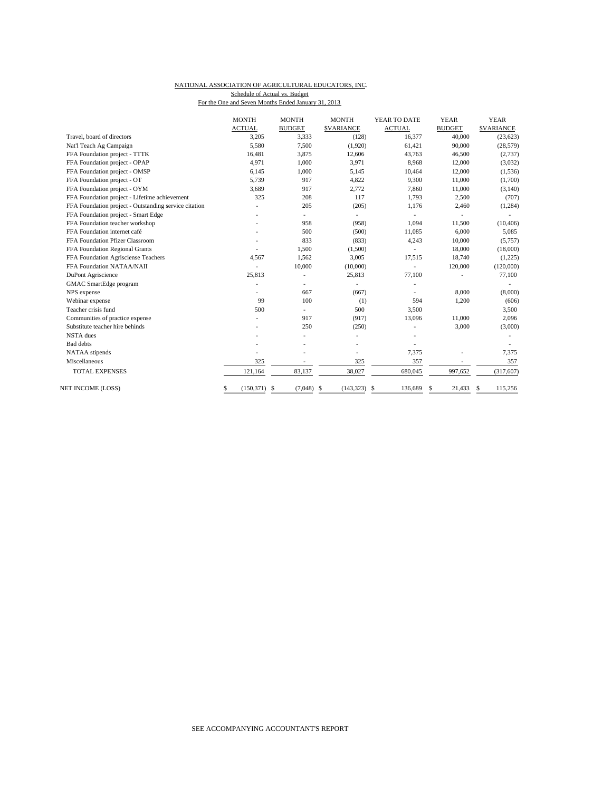#### NATIONAL ASSOCIATION OF AGRICULTURAL EDUCATORS, INC. Schedule of Actual vs. Budget

For the One and Seven Months Ended January 31, 2013

|                                                       | <b>MONTH</b>          | <b>MONTH</b>  | <b>MONTH</b>                | YEAR TO DATE  | <b>YEAR</b>   | <b>YEAR</b>      |
|-------------------------------------------------------|-----------------------|---------------|-----------------------------|---------------|---------------|------------------|
|                                                       | <b>ACTUAL</b>         | <b>BUDGET</b> | <b>\$VARIANCE</b>           | <b>ACTUAL</b> | <b>BUDGET</b> | <b>SVARIANCE</b> |
| Travel, board of directors                            | 3,205                 | 3,333         | (128)                       | 16,377        | 40,000        | (23, 623)        |
| Nat'l Teach Ag Campaign                               | 5,580                 | 7,500         | (1,920)                     | 61,421        | 90,000        | (28, 579)        |
| FFA Foundation project - TTTK                         | 16,481                | 3,875         | 12,606                      | 43,763        | 46,500        | (2,737)          |
| FFA Foundation project - OPAP                         | 4.971                 | 1,000         | 3,971                       | 8,968         | 12,000        | (3,032)          |
| FFA Foundation project - OMSP                         | 6,145                 | 1,000         | 5,145                       | 10,464        | 12,000        | (1, 536)         |
| FFA Foundation project - OT                           | 5.739                 | 917           | 4,822                       | 9,300         | 11,000        | (1,700)          |
| FFA Foundation project - OYM                          | 3.689                 | 917           | 2,772                       | 7,860         | 11,000        | (3, 140)         |
| FFA Foundation project - Lifetime achievement         | 325                   | 208           | 117                         | 1.793         | 2,500         | (707)            |
| FFA Foundation project - Outstanding service citation |                       | 205           | (205)                       | 1,176         | 2,460         | (1, 284)         |
| FFA Foundation project - Smart Edge                   |                       |               | ٠                           | ÷,            | ä,            |                  |
| FFA Foundation teacher workshop                       |                       | 958           | (958)                       | 1.094         | 11,500        | (10, 406)        |
| FFA Foundation internet café                          |                       | 500           | (500)                       | 11,085        | 6,000         | 5,085            |
| FFA Foundation Pfizer Classroom                       |                       | 833           | (833)                       | 4,243         | 10,000        | (5,757)          |
| FFA Foundation Regional Grants                        |                       | 1.500         | (1,500)                     |               | 18,000        | (18,000)         |
| FFA Foundation Agrisciense Teachers                   | 4,567                 | 1,562         | 3,005                       | 17,515        | 18,740        | (1,225)          |
| FFA Foundation NATAA/NAII                             |                       | 10,000        | (10,000)                    |               | 120,000       | (120,000)        |
| DuPont Agriscience                                    | 25.813                | ٠             | 25,813                      | 77,100        |               | 77,100           |
| GMAC SmartEdge program                                |                       |               |                             |               |               |                  |
| NPS expense                                           |                       | 667           | (667)                       |               | 8,000         | (8,000)          |
| Webinar expense                                       | 99                    | 100           | (1)                         | 594           | 1,200         | (606)            |
| Teacher crisis fund                                   | 500                   |               | 500                         | 3,500         |               | 3,500            |
| Communities of practice expense                       |                       | 917           | (917)                       | 13,096        | 11,000        | 2,096            |
| Substitute teacher hire behinds                       |                       | 250           | (250)                       |               | 3,000         | (3,000)          |
| <b>NSTA</b> dues                                      |                       |               |                             |               |               |                  |
| <b>Bad</b> debts                                      |                       |               |                             |               |               |                  |
| NATAA stipends                                        |                       |               |                             | 7,375         |               | 7,375            |
| Miscellaneous                                         | 325                   |               | 325                         | 357           |               | 357              |
| <b>TOTAL EXPENSES</b>                                 | 121.164               | 83.137        | 38,027                      | 680,045       | 997,652       | (317, 607)       |
| NET INCOME (LOSS)                                     | $(150, 371)$ \$<br>\$ | (7,048)       | <sup>\$</sup><br>(143, 323) | 136,689<br>-S | 21,433<br>\$  | 115,256<br>S     |
|                                                       |                       |               |                             |               |               |                  |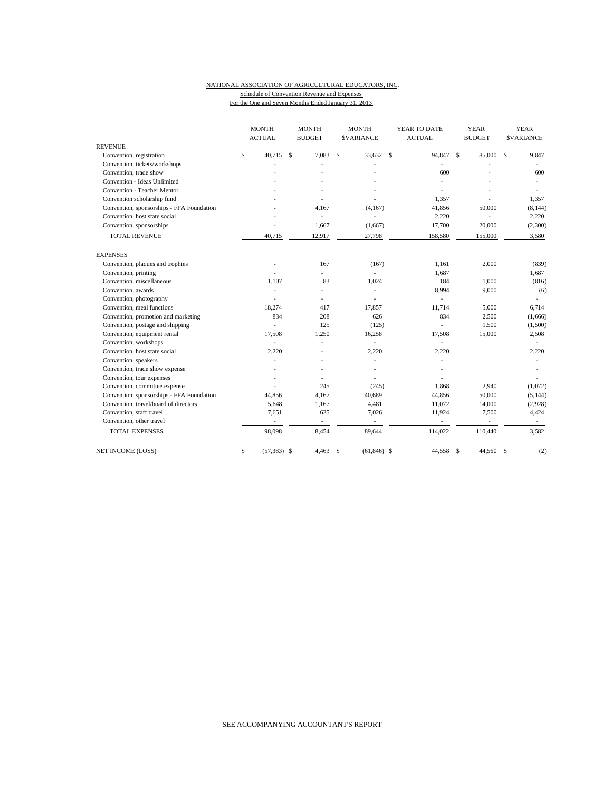### NATIONAL ASSOCIATION OF AGRICULTURAL EDUCATORS, INC. Schedule of Convention Revenue and Expenses

For the One and Seven Months Ended January 31, 2013

|                                           | <b>MONTH</b> |                          | <b>MONTH</b> |                          | <b>MONTH</b> |                          |              | YEAR TO DATE             |              | <b>YEAR</b>              | <b>YEAR</b> |                   |
|-------------------------------------------|--------------|--------------------------|--------------|--------------------------|--------------|--------------------------|--------------|--------------------------|--------------|--------------------------|-------------|-------------------|
|                                           |              | <b>ACTUAL</b>            |              | <b>BUDGET</b>            |              | <b>SVARIANCE</b>         |              | <b>ACTUAL</b>            |              | <b>BUDGET</b>            |             | <b>\$VARIANCE</b> |
| <b>REVENUE</b>                            |              |                          |              |                          |              |                          |              |                          |              |                          |             |                   |
| Convention, registration                  | \$           | 40.715                   | \$           | 7.083                    | $\mathbf S$  | 33.632                   | $\mathbf{s}$ | 94,847                   | $\mathbf{s}$ | 85,000                   | \$          | 9,847             |
| Convention, tickets/workshops             |              |                          |              |                          |              |                          |              |                          |              |                          |             |                   |
| Convention, trade show                    |              |                          |              |                          |              |                          |              | 600                      |              |                          |             | 600               |
| Convention - Ideas Unlimited              |              |                          |              |                          |              |                          |              |                          |              |                          |             |                   |
| Convention - Teacher Mentor               |              |                          |              |                          |              |                          |              |                          |              |                          |             |                   |
| Convention scholarship fund               |              |                          |              |                          |              |                          |              | 1,357                    |              |                          |             | 1,357             |
| Convention, sponsorships - FFA Foundation |              |                          |              | 4,167                    |              | (4,167)                  |              | 41,856                   |              | 50,000                   |             | (8, 144)          |
| Convention, host state social             |              |                          |              | ä,                       |              |                          |              | 2,220                    |              |                          |             | 2,220             |
| Convention, sponsorships                  |              |                          |              | 1,667                    |              | (1,667)                  |              | 17,700                   |              | 20,000                   |             | (2,300)           |
| <b>TOTAL REVENUE</b>                      |              | 40,715                   |              | 12,917                   |              | 27,798                   |              | 158,580                  |              | 155,000                  |             | 3,580             |
| <b>EXPENSES</b>                           |              |                          |              |                          |              |                          |              |                          |              |                          |             |                   |
| Convention, plaques and trophies          |              |                          |              | 167                      |              | (167)                    |              | 1,161                    |              | 2,000                    |             | (839)             |
| Convention, printing                      |              |                          |              | $\overline{a}$           |              |                          |              | 1,687                    |              |                          |             | 1,687             |
| Convention, miscellaneous                 |              | 1,107                    |              | 83                       |              | 1,024                    |              | 184                      |              | 1,000                    |             | (816)             |
| Convention, awards                        |              |                          |              | $\overline{a}$           |              |                          |              | 8,994                    |              | 9,000                    |             | (6)               |
| Convention, photography                   |              |                          |              | L.                       |              |                          |              |                          |              |                          |             | ä,                |
| Convention, meal functions                |              | 18,274                   |              | 417                      |              | 17,857                   |              | 11,714                   |              | 5,000                    |             | 6,714             |
| Convention, promotion and marketing       |              | 834                      |              | 208                      |              | 626                      |              | 834                      |              | 2,500                    |             | (1,666)           |
| Convention, postage and shipping          |              |                          |              | 125                      |              | (125)                    |              | L.                       |              | 1,500                    |             | (1,500)           |
| Convention, equipment rental              |              | 17,508                   |              | 1,250                    |              | 16,258                   |              | 17,508                   |              | 15,000                   |             | 2,508             |
| Convention, workshops                     |              |                          |              |                          |              | ÷,                       |              |                          |              |                          |             |                   |
| Convention, host state social             |              | 2,220                    |              |                          |              | 2,220                    |              | 2,220                    |              |                          |             | 2,220             |
| Convention, speakers                      |              |                          |              |                          |              | ä,                       |              |                          |              |                          |             |                   |
| Convention, trade show expense            |              |                          |              |                          |              |                          |              |                          |              |                          |             |                   |
| Convention, tour expenses                 |              |                          |              |                          |              |                          |              |                          |              |                          |             |                   |
| Convention, committee expense             |              |                          |              | 245                      |              | (245)                    |              | 1,868                    |              | 2,940                    |             | (1,072)           |
| Convention, sponsorships - FFA Foundation |              | 44.856                   |              | 4,167                    |              | 40,689                   |              | 44,856                   |              | 50,000                   |             | (5, 144)          |
| Convention, travel/board of directors     |              | 5,648                    |              | 1,167                    |              | 4,481                    |              | 11,072                   |              | 14,000                   |             | (2,928)           |
| Convention, staff travel                  |              | 7,651                    |              | 625                      |              | 7,026                    |              | 11,924                   |              | 7,500                    |             | 4,424             |
| Convention, other travel                  |              | $\overline{\phantom{a}}$ |              | $\overline{\phantom{a}}$ |              | $\overline{\phantom{a}}$ |              | $\overline{\phantom{a}}$ |              | $\overline{\phantom{a}}$ |             | $\sim$            |
| <b>TOTAL EXPENSES</b>                     |              | 98,098                   |              | 8,454                    |              | 89,644                   |              | 114,022                  |              | 110,440                  |             | 3,582             |
| NET INCOME (LOSS)                         | \$           | (57, 383)                | \$           | 4,463                    | \$           | (61, 846)                | -\$          | 44,558                   | -\$          | 44,560                   | \$          | (2)               |